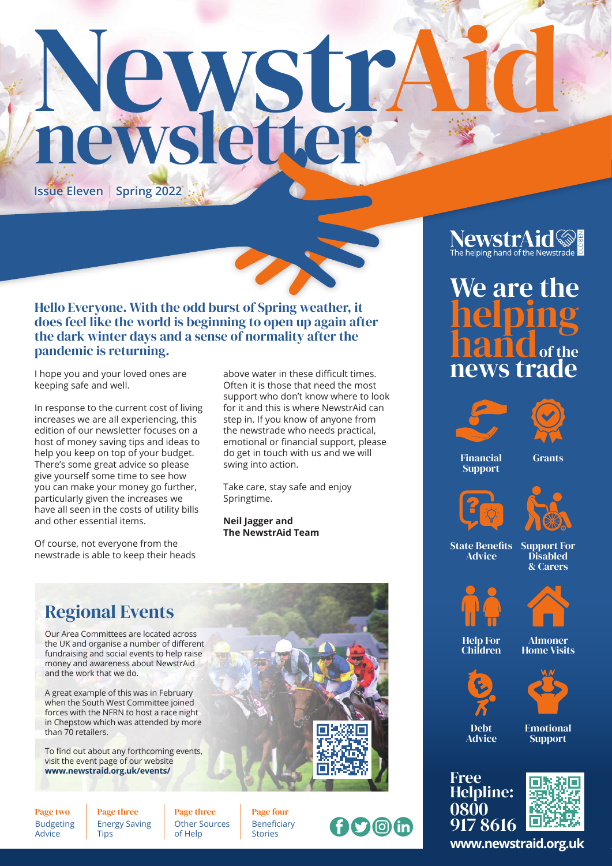# newsletter NewstrAid

**Issue Eleven Spring 2022**

#### Hello Everyone. With the odd burst of Spring weather, it does feel like the world is beginning to open up again after the dark winter days and a sense of normality after the pandemic is returning.

I hope you and your loved ones are keeping safe and well.

In response to the current cost of living increases we are all experiencing, this edition of our newsletter focuses on a host of money saving tips and ideas to help you keep on top of your budget. There's some great advice so please give yourself some time to see how you can make your money go further, particularly given the increases we have all seen in the costs of utility bills and other essential items.

Of course, not everyone from the newstrade is able to keep their heads

above water in these difficult times. Often it is those that need the most support who don't know where to look for it and this is where NewstrAid can step in. If you know of anyone from the newstrade who needs practical, emotional or financial support, please do get in touch with us and we will swing into action.

Take care, stay safe and enjoy Springtime.

**Neil Jagger and The NewstrAid Team**

## $\textbf{News}$  that  $\textbf{Add}$

### We are the helping hand<sub>of the</sub> news trade





Financial Support

**Grants** 





**State Benefits Advice** 

Support For **Disabled** & Carers





Almoner

Help For Children

> Debt Advice







Emotional **Support** 





**www.newstraid.org.uk** 

### Regional Events

Our Area Committees are located across the UK and organise a number of different fundraising and social events to help raise money and awareness about NewstrAid and the work that we do.

A great example of this was in February when the South West Committee joined forces with the NFRN to host a race night in Chepstow which was attended by more than 70 retailers.

To find out about any forthcoming events, visit the event page of our website **www.newstraid.org.uk/events/**

Page two Budgeting Advice

Page three Energy Saving **Tips** 

Page three Other Sources of Help

Page four Beneficiary Stories

OOOO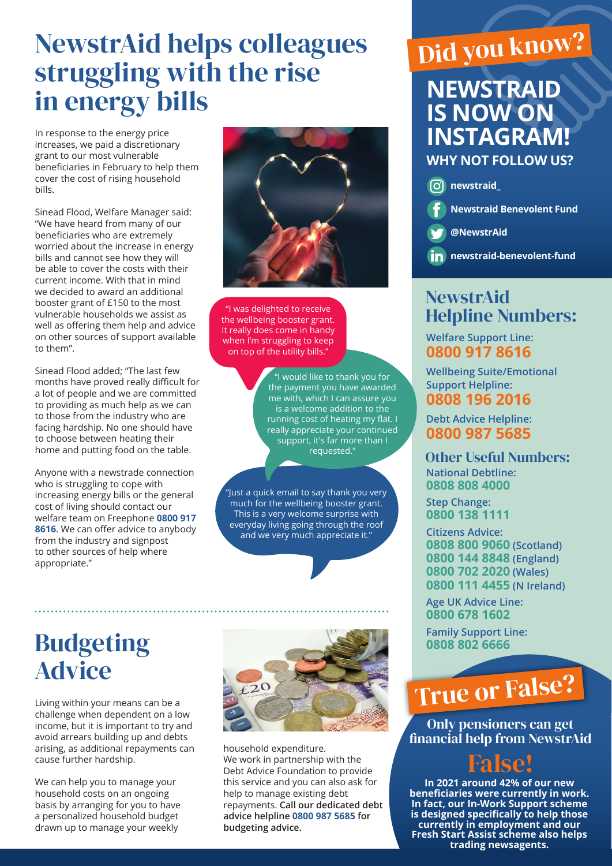### NewstrAid helps colleagues struggling with the rise in energy bills

In response to the energy price increases, we paid a discretionary grant to our most vulnerable beneficiaries in February to help them cover the cost of rising household bills.

Sinead Flood, Welfare Manager said: "We have heard from many of our beneficiaries who are extremely worried about the increase in energy bills and cannot see how they will be able to cover the costs with their current income. With that in mind we decided to award an additional booster grant of £150 to the most vulnerable households we assist as well as offering them help and advice on other sources of support available to them".

Sinead Flood added; "The last few months have proved really difficult for a lot of people and we are committed to providing as much help as we can to those from the industry who are facing hardship. No one should have to choose between heating their home and putting food on the table.

Anyone with a newstrade connection who is struggling to cope with increasing energy bills or the general cost of living should contact our welfare team on Freephone **0800 917 8616**. We can offer advice to anybody from the industry and signpost to other sources of help where appropriate."



"I was delighted to receive the wellbeing booster grant. It really does come in handy when I'm struggling to keep on top of the utility bills."

> "I would like to thank you for the payment you have awarded me with, which I can assure you is a welcome addition to the running cost of heating my flat. I really appreciate your continued support, it's far more than I requested."

"Just a quick email to say thank you very much for the wellbeing booster grant. This is a very welcome surprise with everyday living going through the roof and we very much appreciate it."

### Budgeting Advice

Living within your means can be a challenge when dependent on a low income, but it is important to try and avoid arrears building up and debts arising, as additional repayments can cause further hardship.

We can help you to manage your household costs on an ongoing basis by arranging for you to have a personalized household budget drawn up to manage your weekly



household expenditure. We work in partnership with the Debt Advice Foundation to provide this service and you can also ask for help to manage existing debt repayments. **Call our dedicated debt advice helpline 0800 987 5685 for budgeting advice.**

# Did you know?

### **NEWSTRAID IS NOW ON INSTAGRAM! WHY NOT FOLLOW US?**

**newstraid\_**

- **Newstraid Benevolent Fund**
- **@NewstrAid**
- **in** newstraid-benevolent-fund

### **NewstrAid** Helpline Numbers:

**Welfare Support Line: 0800 917 8616**

**Wellbeing Suite/Emotional Support Helpline: 0808 196 2016**

**Debt Advice Helpline: 0800 987 5685**

**National Debtline: 0808 808 4000** Other Useful Numbers:

**Step Change: 0800 138 1111**

**Citizens Advice: 0808 800 9060 (Scotland) 0800 144 8848 (England) 0800 702 2020 (Wales) 0800 111 4455 (N Ireland)**

**Age UK Advice Line: 0800 678 1602**

**Family Support Line: 0808 802 6666**

# True or False?

Only pensioners can get financial help from NewstrAid

### False!

**In 2021 around 42% of our new beneficiaries were currently in work. In fact, our In-Work Support scheme is designed specifically to help those currently in employment and our Fresh Start Assist scheme also helps trading newsagents.**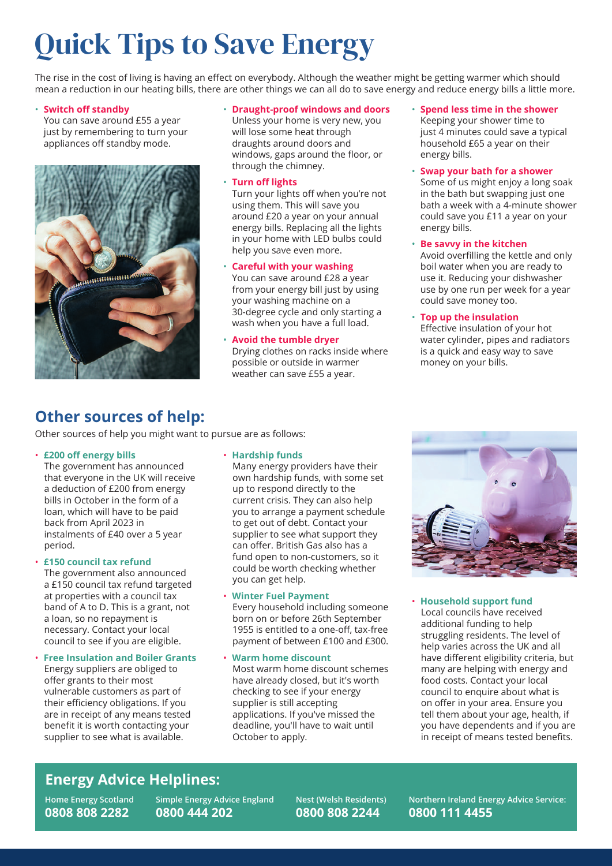# Quick Tips to Save Energy

The rise in the cost of living is having an effect on everybody. Although the weather might be getting warmer which should mean a reduction in our heating bills, there are other things we can all do to save energy and reduce energy bills a little more.

#### • **Switch off standby**

You can save around £55 a year just by remembering to turn your appliances off standby mode.



• **Draught-proof windows and doors**

Unless your home is very new, you will lose some heat through draughts around doors and windows, gaps around the floor, or through the chimney.

#### • **Turn off lights**

Turn your lights off when you're not using them. This will save you around £20 a year on your annual energy bills. Replacing all the lights in your home with LED bulbs could help you save even more.

- **Careful with your washing** You can save around £28 a year from your energy bill just by using your washing machine on a 30-degree cycle and only starting a wash when you have a full load.
- **Avoid the tumble dryer** Drying clothes on racks inside where possible or outside in warmer weather can save £55 a year.
- **Spend less time in the shower** Keeping your shower time to just 4 minutes could save a typical household £65 a year on their energy bills.
- **Swap your bath for a shower** Some of us might enjoy a long soak in the bath but swapping just one bath a week with a 4-minute shower could save you £11 a year on your energy bills.

• **Be savvy in the kitchen** Avoid overfilling the kettle and only boil water when you are ready to use it. Reducing your dishwasher use by one run per week for a year could save money too.

• **Top up the insulation** Effective insulation of your hot water cylinder, pipes and radiators is a quick and easy way to save money on your bills.

#### **Other sources of help:**

Other sources of help you might want to pursue are as follows:

#### • **£200 off energy bills**

The government has announced that everyone in the UK will receive a deduction of £200 from energy bills in October in the form of a loan, which will have to be paid back from April 2023 in instalments of £40 over a 5 year period.

#### • **£150 council tax refund**

The government also announced a £150 council tax refund targeted at properties with a council tax band of A to D. This is a grant, not a loan, so no repayment is necessary. Contact your local council to see if you are eligible.

• **Free Insulation and Boiler Grants** Energy suppliers are obliged to offer grants to their most vulnerable customers as part of their efficiency obligations. If you are in receipt of any means tested benefit it is worth contacting your supplier to see what is available.

#### • **Hardship funds**

Many energy providers have their own hardship funds, with some set up to respond directly to the current crisis. They can also help you to arrange a payment schedule to get out of debt. Contact your supplier to see what support they can offer. British Gas also has a fund open to non-customers, so it could be worth checking whether you can get help.

#### • **Winter Fuel Payment**

Every household including someone born on or before 26th September 1955 is entitled to a one-off, tax-free payment of between £100 and £300.

• **Warm home discount**

Most warm home discount schemes have already closed, but it's worth checking to see if your energy supplier is still accepting applications. If you've missed the deadline, you'll have to wait until October to apply.



• **Household support fund** Local councils have received additional funding to help struggling residents. The level of help varies across the UK and all have different eligibility criteria, but many are helping with energy and food costs. Contact your local council to enquire about what is on offer in your area. Ensure you tell them about your age, health, if you have dependents and if you are in receipt of means tested benefits.

#### **Energy Advice Helplines:**

**Home Energy Scotland 0808 808 2282**

**Simple Energy Advice England 0800 444 202**

**Nest (Welsh Residents) 0800 808 2244**

**Northern Ireland Energy Advice Service: 0800 111 4455**